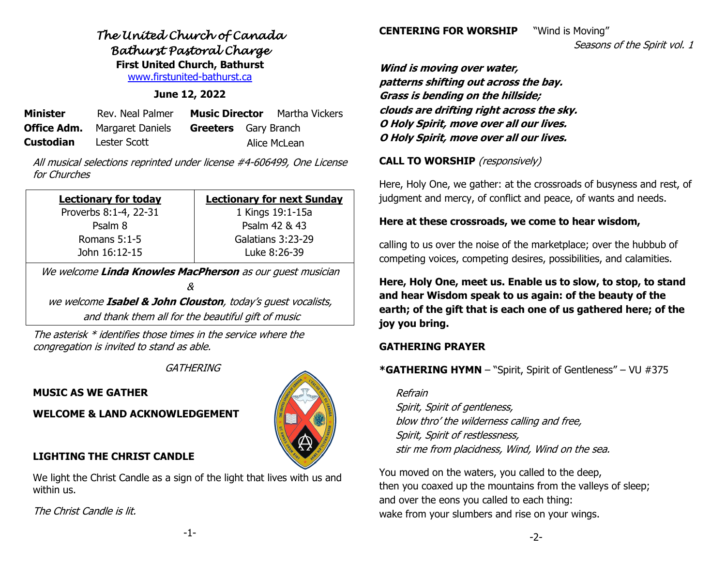## *The United Church of Canada Bathurst Pastoral Charge*  **First United Church, Bathurst**

[www.firstunited-bathurst.ca](http://www.firstunited-bathurst.ca/)

#### **June 12, 2022**

| <b>Minister</b>  | Rev. Neal Palmer                    |                             | <b>Music Director</b> Martha Vickers |
|------------------|-------------------------------------|-----------------------------|--------------------------------------|
|                  | <b>Office Adm.</b> Margaret Daniels | <b>Greeters</b> Gary Branch |                                      |
| <b>Custodian</b> | Lester Scott                        |                             | Alice McLean                         |

All musical selections reprinted under license #4-606499, One License for Churches

| <b>Lectionary for today</b> | <b>Lectionary for next Sunday</b> |  |  |
|-----------------------------|-----------------------------------|--|--|
| Proverbs 8:1-4, 22-31       | 1 Kings 19:1-15a                  |  |  |
| Psalm 8                     | Psalm 42 & 43                     |  |  |
| Romans 5:1-5                | Galatians 3:23-29                 |  |  |
| John 16:12-15               | Luke 8:26-39                      |  |  |

We welcome **Linda Knowles MacPherson** as our guest musician

&

we welcome **Isabel & John Clouston**, today's guest vocalists, and thank them all for the beautiful gift of music

The asterisk \* identifies those times in the service where the congregation is invited to stand as able.

#### **GATHERING**

**MUSIC AS WE GATHER**

**WELCOME & LAND ACKNOWLEDGEMENT**

### **LIGHTING THE CHRIST CANDLE**

We light the Christ Candle as a sign of the light that lives with us and within us.

The Christ Candle is lit.

calling to us over the noise of the marketplace; over the hubbub of competing voices, competing desires, possibilities, and calamities.

**Here, Holy One, meet us. Enable us to slow, to stop, to stand and hear Wisdom speak to us again: of the beauty of the earth; of the gift that is each one of us gathered here; of the joy you bring.**

#### **GATHERING PRAYER**

### **\*GATHERING HYMN** – "Spirit, Spirit of Gentleness" – VU #375

Refrain Spirit, Spirit of gentleness, blow thro' the wilderness calling and free, Spirit, Spirit of restlessness, stir me from placidness, Wind, Wind on the sea.

You moved on the waters, you called to the deep, then you coaxed up the mountains from the valleys of sleep; and over the eons you called to each thing: wake from your slumbers and rise on your wings.

Seasons of the Spirit vol. 1

**Wind is moving over water, patterns shifting out across the bay. Grass is bending on the hillside; clouds are drifting right across the sky. O Holy Spirit, move over all our lives. O Holy Spirit, move over all our lives.**

**CENTERING FOR WORSHIP** "Wind is Moving"

**CALL TO WORSHIP** (responsively)

Here, Holy One, we gather: at the crossroads of busyness and rest, of judgment and mercy, of conflict and peace, of wants and needs.

## **Here at these crossroads, we come to hear wisdom,**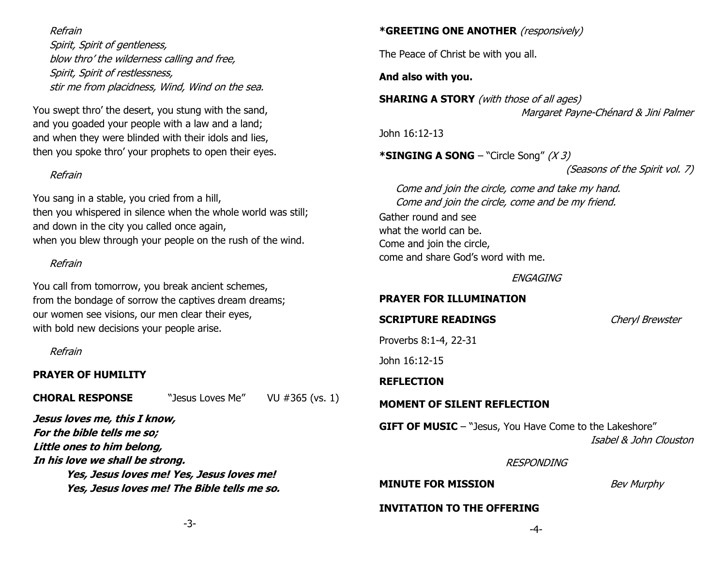#### Refrain

Spirit, Spirit of gentleness, blow thro' the wilderness calling and free, Spirit, Spirit of restlessness, stir me from placidness, Wind, Wind on the sea.

You swept thro' the desert, you stung with the sand, and you goaded your people with a law and a land; and when they were blinded with their idols and lies, then you spoke thro' your prophets to open their eyes.

#### Refrain

You sang in a stable, you cried from a hill, then you whispered in silence when the whole world was still; and down in the city you called once again, when you blew through your people on the rush of the wind.

#### Refrain

You call from tomorrow, you break ancient schemes, from the bondage of sorrow the captives dream dreams; our women see visions, our men clear their eyes, with bold new decisions your people arise.

Refrain

#### **PRAYER OF HUMILITY**

#### **CHORAL RESPONSE** "Jesus Loves Me" VU #365 (vs. 1)

**Jesus loves me, this I know, For the bible tells me so; Little ones to him belong, In his love we shall be strong. Yes, Jesus loves me! Yes, Jesus loves me! Yes, Jesus loves me! The Bible tells me so.**

#### **\*GREETING ONE ANOTHER** (responsively)

The Peace of Christ be with you all.

**And also with you.**

**SHARING A STORY** (with those of all ages) Margaret Payne-Chénard & Jini Palmer

John 16:12-13

**\*SINGING A SONG** – "Circle Song" (X 3)

(Seasons of the Spirit vol. 7)

Come and join the circle, come and take my hand. Come and join the circle, come and be my friend.

Gather round and see what the world can be. Come and join the circle, come and share God's word with me.

ENGAGING

#### **PRAYER FOR ILLUMINATION**

#### **SCRIPTURE READINGS** *Cheryl Brewster*

Proverbs 8:1-4, 22-31

John 16:12-15

**REFLECTION**

#### **MOMENT OF SILENT REFLECTION**

**GIFT OF MUSIC** – "Jesus, You Have Come to the Lakeshore" Isabel & John Clouston

#### RESPONDING

**MINUTE FOR MISSION** *Bev Murphy* 

#### **INVITATION TO THE OFFERING**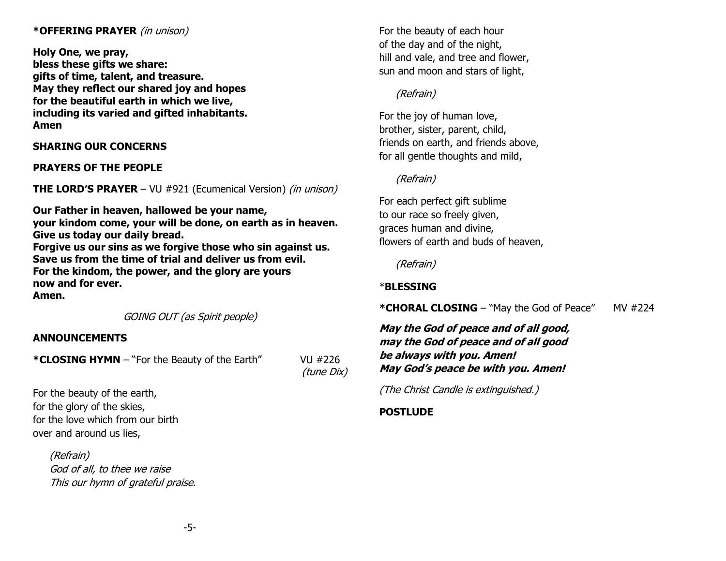#### **\*OFFERING PRAYER** (in unison)

**Holy One, we pray, bless these gifts we share: gifts of time, talent, and treasure. May they reflect our shared joy and hopes for the beautiful earth in which we live, including its varied and gifted inhabitants. Amen**

**SHARING OUR CONCERNS** 

**PRAYERS OF THE PEOPLE**

**THE LORD'S PRAYER** – VU #921 (Ecumenical Version) *(in unison)* 

**Our Father in heaven, hallowed be your name, your kindom come, your will be done, on earth as in heaven. Give us today our daily bread. Forgive us our sins as we forgive those who sin against us.**

**Save us from the time of trial and deliver us from evil. For the kindom, the power, and the glory are yours now and for ever.** 

**Amen.**

GOING OUT (as Spirit people)

#### **ANNOUNCEMENTS**

**\*CLOSING HYMN** – "For the Beauty of the Earth" VU #226

(tune Dix)

For the beauty of the earth, for the glory of the skies, for the love which from our birth over and around us lies,

> (Refrain) God of all, to thee we raise This our hymn of grateful praise.

For the beauty of each hour of the day and of the night, hill and vale, and tree and flower, sun and moon and stars of light,

#### (Refrain)

For the joy of human love, brother, sister, parent, child, friends on earth, and friends above, for all gentle thoughts and mild,

#### (Refrain)

For each perfect gift sublime to our race so freely given, graces human and divine, flowers of earth and buds of heaven,

(Refrain)

#### \***BLESSING**

\*CHORAL CLOSING - "May the God of Peace" MV #224

**May the God of peace and of all good, may the God of peace and of all good be always with you. Amen! May God's peace be with you. Amen!**

(The Christ Candle is extinguished.)

#### **POSTLUDE**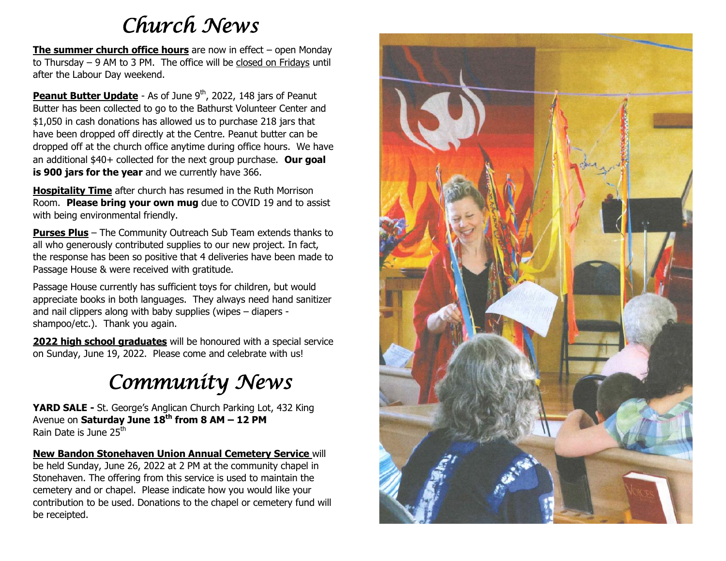# *Church News*

**The summer church office hours** are now in effect – open Monday to Thursday – 9 AM to 3 PM. The office will be closed on Fridays until after the Labour Day weekend.

**Peanut Butter Update** - As of June 9<sup>th</sup>, 2022, 148 jars of Peanut Butter has been collected to go to the Bathurst Volunteer Center and \$1,050 in cash donations has allowed us to purchase 218 jars that have been dropped off directly at the Centre. Peanut butter can be dropped off at the church office anytime during office hours. We have an additional \$40+ collected for the next group purchase. **Our goal is 900 jars for the year** and we currently have 366.

**Hospitality Time** after church has resumed in the Ruth Morrison Room. **Please bring your own mug** due to COVID 19 and to assist with being environmental friendly.

**Purses Plus** – The Community Outreach Sub Team extends thanks to all who generously contributed supplies to our new project. In fact, the response has been so positive that 4 deliveries have been made to Passage House & were received with gratitude.

Passage House currently has sufficient toys for children, but would appreciate books in both languages. They always need hand sanitizer and nail clippers along with baby supplies (wipes – diapers shampoo/etc.). Thank you again.

**2022 high school graduates** will be honoured with a special service on Sunday, June 19, 2022. Please come and celebrate with us!

# *Community News*

**YARD SALE -** St. George's Anglican Church Parking Lot, 432 King Avenue on **Saturday June 18th from 8 AM – 12 PM** Rain Date is June 25<sup>th</sup>

#### **New Bandon Stonehaven Union Annual Cemetery Service** will

be held Sunday, June 26, 2022 at 2 PM at the community chapel in Stonehaven. The offering from this service is used to maintain the cemetery and or chapel. Please indicate how you would like your contribution to be used. Donations to the chapel or cemetery fund will be receipted.